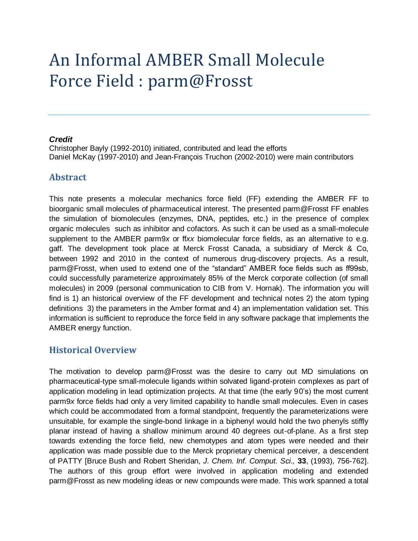# An Informal AMBER Small Molecule Force Field : parm@Frosst

#### *Credit*

Christopher Bayly (1992-2010) initiated, contributed and lead the efforts Daniel McKay (1997-2010) and Jean-François Truchon (2002-2010) were main contributors

## **Abstract**

This note presents a molecular mechanics force field (FF) extending the AMBER FF to bioorganic small molecules of pharmaceutical interest. The presented parm@Frosst FF enables the simulation of biomolecules (enzymes, DNA, peptides, etc.) in the presence of complex organic molecules such as inhibitor and cofactors. As such it can be used as a small-molecule supplement to the AMBER parm9*x* or ff*xx* biomolecular force fields, as an alternative to e.g. gaff. The development took place at Merck Frosst Canada, a subsidiary of Merck & Co, between 1992 and 2010 in the context of numerous drug-discovery projects. As a result, parm@Frosst, when used to extend one of the "standard" AMBER foce fields such as ff99sb, could successfully parameterize approximately 85% of the Merck corporate collection (of small molecules) in 2009 (personal communication to CIB from V. Hornak). The information you will find is 1) an historical overview of the FF development and technical notes 2) the atom typing definitions 3) the parameters in the Amber format and 4) an implementation validation set. This information is sufficient to reproduce the force field in any software package that implements the AMBER energy function.

## **Historical Overview**

The motivation to develop parm@Frosst was the desire to carry out MD simulations on pharmaceutical-type small-molecule ligands within solvated ligand-protein complexes as part of application modeling in lead optimization projects. At that time (the early 90"s) the most current parm9*x* force fields had only a very limited capability to handle small molecules. Even in cases which could be accommodated from a formal standpoint, frequently the parameterizations were unsuitable, for example the single-bond linkage in a biphenyl would hold the two phenyls stiffly planar instead of having a shallow minimum around 40 degrees out-of-plane. As a first step towards extending the force field, new chemotypes and atom types were needed and their application was made possible due to the Merck proprietary chemical perceiver, a descendent of PATTY [Bruce Bush and Robert Sheridan, *J. Chem. Inf. Comput. Sci.,* **33**, (1993), 756-762]. The authors of this group effort were involved in application modeling and extended parm@Frosst as new modeling ideas or new compounds were made. This work spanned a total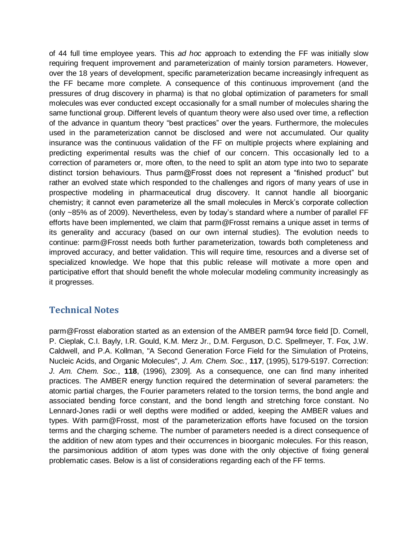of 44 full time employee years. This *ad hoc* approach to extending the FF was initially slow requiring frequent improvement and parameterization of mainly torsion parameters. However, over the 18 years of development, specific parameterization became increasingly infrequent as the FF became more complete. A consequence of this continuous improvement (and the pressures of drug discovery in pharma) is that no global optimization of parameters for small molecules was ever conducted except occasionally for a small number of molecules sharing the same functional group. Different levels of quantum theory were also used over time, a reflection of the advance in quantum theory "best practices" over the years. Furthermore, the molecules used in the parameterization cannot be disclosed and were not accumulated. Our quality insurance was the continuous validation of the FF on multiple projects where explaining and predicting experimental results was the chief of our concern. This occasionally led to a correction of parameters or, more often, to the need to split an atom type into two to separate distinct torsion behaviours. Thus parm@Frosst does not represent a "finished product" but rather an evolved state which responded to the challenges and rigors of many years of use in prospective modeling in pharmaceutical drug discovery. It cannot handle all bioorganic chemistry; it cannot even parameterize all the small molecules in Merck"s corporate collection (only ~85% as of 2009). Nevertheless, even by today"s standard where a number of parallel FF efforts have been implemented, we claim that parm@Frosst remains a unique asset in terms of its generality and accuracy (based on our own internal studies). The evolution needs to continue: parm@Frosst needs both further parameterization, towards both completeness and improved accuracy, and better validation. This will require time, resources and a diverse set of specialized knowledge. We hope that this public release will motivate a more open and participative effort that should benefit the whole molecular modeling community increasingly as it progresses.

## **Technical Notes**

parm@Frosst elaboration started as an extension of the AMBER parm94 force field [D. Cornell, P. Cieplak, C.I. Bayly, I.R. Gould, K.M. Merz Jr., D.M. Ferguson, D.C. Spellmeyer, T. Fox, J.W. Caldwell, and P.A. Kollman, "A Second Generation Force Field for the Simulation of Proteins, Nucleic Acids, and Organic Molecules", *J. Am. Chem. Soc.*, **117**, (1995), 5179-5197. Correction: *J. Am. Chem. Soc.*, **118**, (1996), 2309]. As a consequence, one can find many inherited practices. The AMBER energy function required the determination of several parameters: the atomic partial charges, the Fourier parameters related to the torsion terms, the bond angle and associated bending force constant, and the bond length and stretching force constant. No Lennard-Jones radii or well depths were modified or added, keeping the AMBER values and types. With parm@Frosst, most of the parameterization efforts have focused on the torsion terms and the charging scheme. The number of parameters needed is a direct consequence of the addition of new atom types and their occurrences in bioorganic molecules. For this reason, the parsimonious addition of atom types was done with the only objective of fixing general problematic cases. Below is a list of considerations regarding each of the FF terms.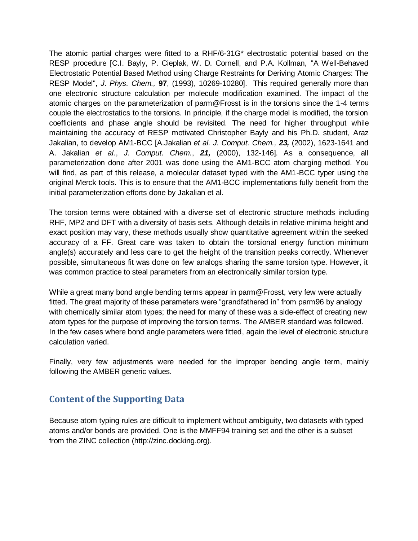The atomic partial charges were fitted to a RHF/6-31G\* electrostatic potential based on the RESP procedure [C.I. Bayly, P. Cieplak, W. D. Cornell, and P.A. Kollman, "A Well-Behaved Electrostatic Potential Based Method using Charge Restraints for Deriving Atomic Charges: The RESP Model", *J. Phys. Chem.,* **97**, (1993), 10269-10280]. This required generally more than one electronic structure calculation per molecule modification examined. The impact of the atomic charges on the parameterization of parm@Frosst is in the torsions since the 1-4 terms couple the electrostatics to the torsions. In principle, if the charge model is modified, the torsion coefficients and phase angle should be revisited. The need for higher throughput while maintaining the accuracy of RESP motivated Christopher Bayly and his Ph.D. student, Araz Jakalian, to develop AM1-BCC [A.Jakalian *et al. J. Comput. Chem., 23,* (2002), 1623-1641 and A. Jakalian *et al.*, *J. Comput. Chem.*, *21,* (2000), 132-146]. As a consequence, all parameterization done after 2001 was done using the AM1-BCC atom charging method. You will find, as part of this release, a molecular dataset typed with the AM1-BCC typer using the original Merck tools. This is to ensure that the AM1-BCC implementations fully benefit from the initial parameterization efforts done by Jakalian et al.

The torsion terms were obtained with a diverse set of electronic structure methods including RHF, MP2 and DFT with a diversity of basis sets. Although details in relative minima height and exact position may vary, these methods usually show quantitative agreement within the seeked accuracy of a FF. Great care was taken to obtain the torsional energy function minimum angle(s) accurately and less care to get the height of the transition peaks correctly. Whenever possible, simultaneous fit was done on few analogs sharing the same torsion type. However, it was common practice to steal parameters from an electronically similar torsion type.

While a great many bond angle bending terms appear in parm@Frosst, very few were actually fitted. The great majority of these parameters were "grandfathered in" from parm96 by analogy with chemically similar atom types; the need for many of these was a side-effect of creating new atom types for the purpose of improving the torsion terms. The AMBER standard was followed. In the few cases where bond angle parameters were fitted, again the level of electronic structure calculation varied.

Finally, very few adjustments were needed for the improper bending angle term, mainly following the AMBER generic values.

# **Content of the Supporting Data**

Because atom typing rules are difficult to implement without ambiguity, two datasets with typed atoms and/or bonds are provided. One is the MMFF94 training set and the other is a subset from the ZINC collection (http://zinc.docking.org).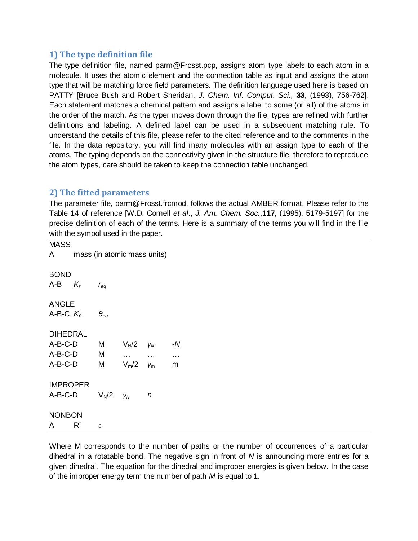## **1) The type definition file**

The type definition file, named parm@Frosst.pcp, assigns atom type labels to each atom in a molecule. It uses the atomic element and the connection table as input and assigns the atom type that will be matching force field parameters. The definition language used here is based on PATTY [Bruce Bush and Robert Sheridan, *J. Chem. Inf. Comput. Sci.,* **33**, (1993), 756-762]. Each statement matches a chemical pattern and assigns a label to some (or all) of the atoms in the order of the match. As the typer moves down through the file, types are refined with further definitions and labeling. A defined label can be used in a subsequent matching rule. To understand the details of this file, please refer to the cited reference and to the comments in the file. In the data repository, you will find many molecules with an assign type to each of the atoms. The typing depends on the connectivity given in the structure file, therefore to reproduce the atom types, care should be taken to keep the connection table unchanged.

## **2) The fitted parameters**

The parameter file, parm@Frosst.frcmod, follows the actual AMBER format. Please refer to the Table 14 of reference [W.D. Cornell *et al*., *J. Am. Chem. Soc.*,**117**, (1995), 5179-5197] for the precise definition of each of the terms. Here is a summary of the terms you will find in the file with the symbol used in the paper.

| <b>MASS</b>        |       |                             |            |          |           |  |  |  |
|--------------------|-------|-----------------------------|------------|----------|-----------|--|--|--|
| $\mathsf{A}$       |       | mass (in atomic mass units) |            |          |           |  |  |  |
| <b>BOND</b>        |       |                             |            |          |           |  |  |  |
| A-B $K_r$          |       | $r_{eq}$                    |            |          |           |  |  |  |
| <b>ANGLE</b>       |       |                             |            |          |           |  |  |  |
| A-B-C $K_{\theta}$ |       | $\bm{\theta}_{eq}$          |            |          |           |  |  |  |
| <b>DIHEDRAL</b>    |       |                             |            |          |           |  |  |  |
| A-B-C-D            |       | M                           | $V_N/2$    | $V_N$    | - $N$     |  |  |  |
| $A-B-C-D$          |       | M                           | $\ddotsc$  | $\ldots$ | $\cdots$  |  |  |  |
| A-B-C-D            |       | M                           | $V_m/2$    | $V_{m}$  | ${\sf m}$ |  |  |  |
| <b>IMPROPER</b>    |       |                             |            |          |           |  |  |  |
| A-B-C-D            |       | $V_N/2$                     | $\gamma_N$ | n        |           |  |  |  |
| <b>NONBON</b>      |       |                             |            |          |           |  |  |  |
| A                  | $R^*$ | $\boldsymbol{\varepsilon}$  |            |          |           |  |  |  |

Where M corresponds to the number of paths or the number of occurrences of a particular dihedral in a rotatable bond. The negative sign in front of *N* is announcing more entries for a given dihedral. The equation for the dihedral and improper energies is given below. In the case of the improper energy term the number of path *M* is equal to 1.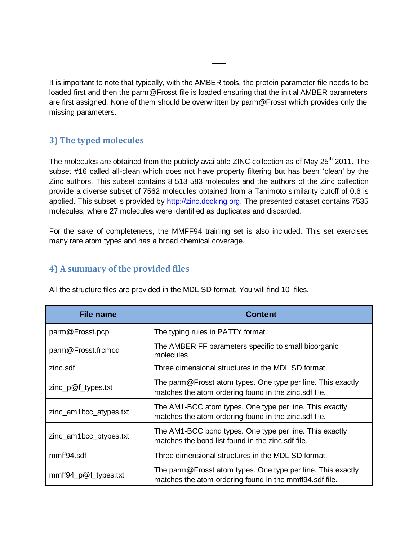It is important to note that typically, with the AMBER tools, the protein parameter file needs to be loaded first and then the parm@Frosst file is loaded ensuring that the initial AMBER parameters are first assigned. None of them should be overwritten by parm@Frosst which provides only the missing parameters.

# **3) The typed molecules**

The molecules are obtained from the publicly available ZINC collection as of May 25<sup>th</sup> 2011. The subset #16 called all-clean which does not have property filtering but has been "clean" by the Zinc authors. This subset contains 8 513 583 molecules and the authors of the Zinc collection provide a diverse subset of 7562 molecules obtained from a Tanimoto similarity cutoff of 0.6 is applied. This subset is provided by [http://zinc.docking.org.](http://zinc.docking.org/) The presented dataset contains 7535 molecules, where 27 molecules were identified as duplicates and discarded.

For the sake of completeness, the MMFF94 training set is also included. This set exercises many rare atom types and has a broad chemical coverage.

## **4) A summary of the provided files**

All the structure files are provided in the MDL SD format. You will find 10 files.

| <b>File name</b>       | <b>Content</b>                                                                                                         |
|------------------------|------------------------------------------------------------------------------------------------------------------------|
| parm@Frosst.pcp        | The typing rules in PATTY format.                                                                                      |
| parm@Frosst.frcmod     | The AMBER FF parameters specific to small bioorganic<br>molecules                                                      |
| zinc.sdf               | Three dimensional structures in the MDL SD format.                                                                     |
| $zinc\_p@f_types.txt$  | The parm@Frosst atom types. One type per line. This exactly<br>matches the atom ordering found in the zinc.sdf file.   |
| zinc_am1bcc_atypes.txt | The AM1-BCC atom types. One type per line. This exactly<br>matches the atom ordering found in the zinc.sdf file.       |
| zinc_am1bcc_btypes.txt | The AM1-BCC bond types. One type per line. This exactly<br>matches the bond list found in the zinc.sdf file.           |
| mmff94.sdf             | Three dimensional structures in the MDL SD format.                                                                     |
| mmff94_p@f_types.txt   | The parm@Frosst atom types. One type per line. This exactly<br>matches the atom ordering found in the mmff94.sdf file. |